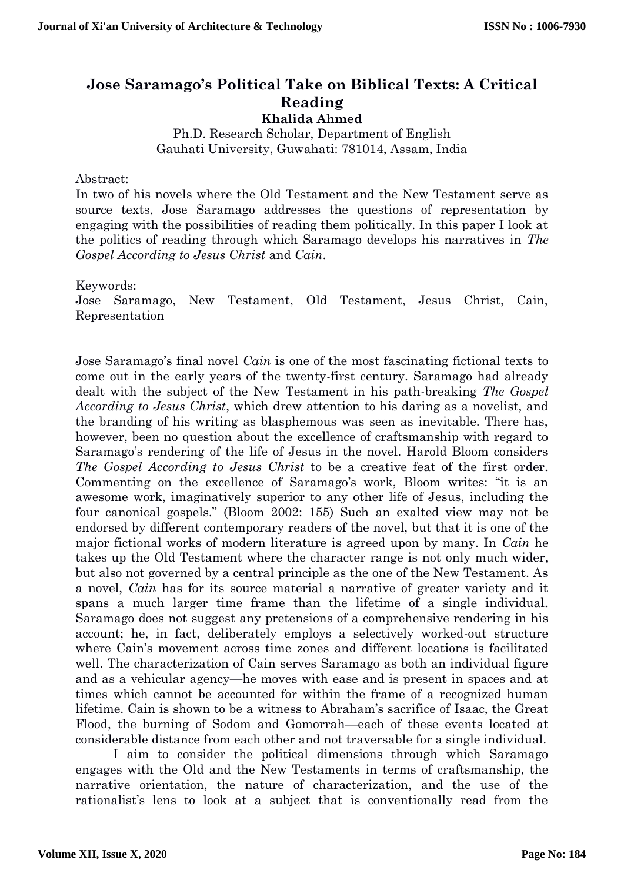## **Jose Saramago's Political Take on Biblical Texts: A Critical Reading Khalida Ahmed**

Ph.D. Research Scholar, Department of English Gauhati University, Guwahati: 781014, Assam, India

## Abstract:

In two of his novels where the Old Testament and the New Testament serve as source texts, Jose Saramago addresses the questions of representation by engaging with the possibilities of reading them politically. In this paper I look at the politics of reading through which Saramago develops his narratives in *The Gospel According to Jesus Christ* and *Cain*.

Keywords:

Jose Saramago, New Testament, Old Testament, Jesus Christ, Cain, Representation

Jose Saramago's final novel *Cain* is one of the most fascinating fictional texts to come out in the early years of the twenty-first century. Saramago had already dealt with the subject of the New Testament in his path-breaking *The Gospel According to Jesus Christ*, which drew attention to his daring as a novelist, and the branding of his writing as blasphemous was seen as inevitable. There has, however, been no question about the excellence of craftsmanship with regard to Saramago's rendering of the life of Jesus in the novel. Harold Bloom considers *The Gospel According to Jesus Christ* to be a creative feat of the first order. Commenting on the excellence of Saramago's work, Bloom writes: "it is an awesome work, imaginatively superior to any other life of Jesus, including the four canonical gospels." (Bloom 2002: 155) Such an exalted view may not be endorsed by different contemporary readers of the novel, but that it is one of the major fictional works of modern literature is agreed upon by many. In *Cain* he takes up the Old Testament where the character range is not only much wider, but also not governed by a central principle as the one of the New Testament. As a novel, *Cain* has for its source material a narrative of greater variety and it spans a much larger time frame than the lifetime of a single individual. Saramago does not suggest any pretensions of a comprehensive rendering in his account; he, in fact, deliberately employs a selectively worked-out structure where Cain's movement across time zones and different locations is facilitated well. The characterization of Cain serves Saramago as both an individual figure and as a vehicular agency—he moves with ease and is present in spaces and at times which cannot be accounted for within the frame of a recognized human lifetime. Cain is shown to be a witness to Abraham's sacrifice of Isaac, the Great Flood, the burning of Sodom and Gomorrah—each of these events located at considerable distance from each other and not traversable for a single individual.

I aim to consider the political dimensions through which Saramago engages with the Old and the New Testaments in terms of craftsmanship, the narrative orientation, the nature of characterization, and the use of the rationalist's lens to look at a subject that is conventionally read from the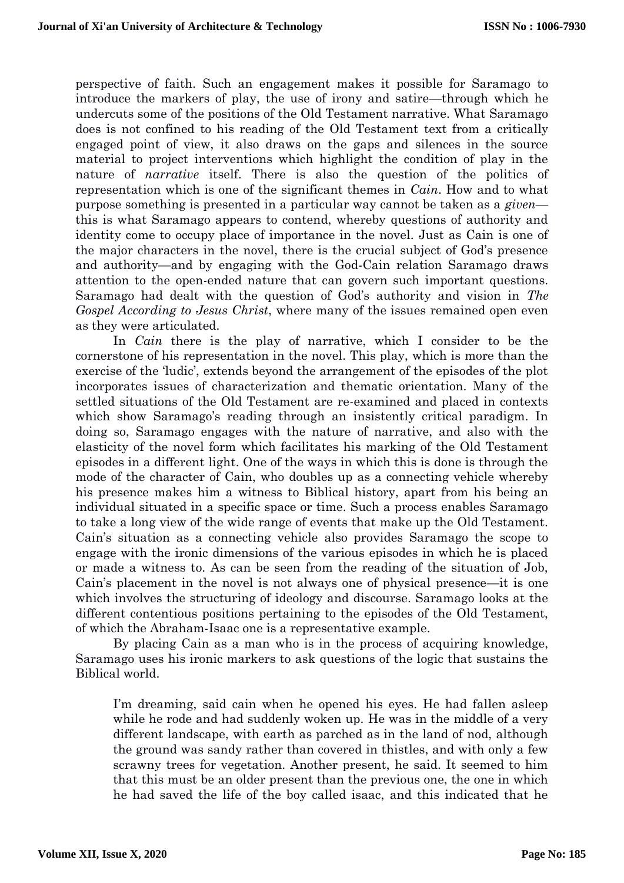perspective of faith. Such an engagement makes it possible for Saramago to introduce the markers of play, the use of irony and satire—through which he undercuts some of the positions of the Old Testament narrative. What Saramago does is not confined to his reading of the Old Testament text from a critically engaged point of view, it also draws on the gaps and silences in the source material to project interventions which highlight the condition of play in the nature of *narrative* itself. There is also the question of the politics of representation which is one of the significant themes in *Cain*. How and to what purpose something is presented in a particular way cannot be taken as a *given* this is what Saramago appears to contend, whereby questions of authority and identity come to occupy place of importance in the novel. Just as Cain is one of the major characters in the novel, there is the crucial subject of God's presence and authority—and by engaging with the God-Cain relation Saramago draws attention to the open-ended nature that can govern such important questions. Saramago had dealt with the question of God's authority and vision in *The Gospel According to Jesus Christ*, where many of the issues remained open even as they were articulated.

In *Cain* there is the play of narrative, which I consider to be the cornerstone of his representation in the novel. This play, which is more than the exercise of the 'ludic', extends beyond the arrangement of the episodes of the plot incorporates issues of characterization and thematic orientation. Many of the settled situations of the Old Testament are re-examined and placed in contexts which show Saramago's reading through an insistently critical paradigm. In doing so, Saramago engages with the nature of narrative, and also with the elasticity of the novel form which facilitates his marking of the Old Testament episodes in a different light. One of the ways in which this is done is through the mode of the character of Cain, who doubles up as a connecting vehicle whereby his presence makes him a witness to Biblical history, apart from his being an individual situated in a specific space or time. Such a process enables Saramago to take a long view of the wide range of events that make up the Old Testament. Cain's situation as a connecting vehicle also provides Saramago the scope to engage with the ironic dimensions of the various episodes in which he is placed or made a witness to. As can be seen from the reading of the situation of Job, Cain's placement in the novel is not always one of physical presence—it is one which involves the structuring of ideology and discourse. Saramago looks at the different contentious positions pertaining to the episodes of the Old Testament, of which the Abraham-Isaac one is a representative example.

By placing Cain as a man who is in the process of acquiring knowledge, Saramago uses his ironic markers to ask questions of the logic that sustains the Biblical world.

I'm dreaming, said cain when he opened his eyes. He had fallen asleep while he rode and had suddenly woken up. He was in the middle of a very different landscape, with earth as parched as in the land of nod, although the ground was sandy rather than covered in thistles, and with only a few scrawny trees for vegetation. Another present, he said. It seemed to him that this must be an older present than the previous one, the one in which he had saved the life of the boy called isaac, and this indicated that he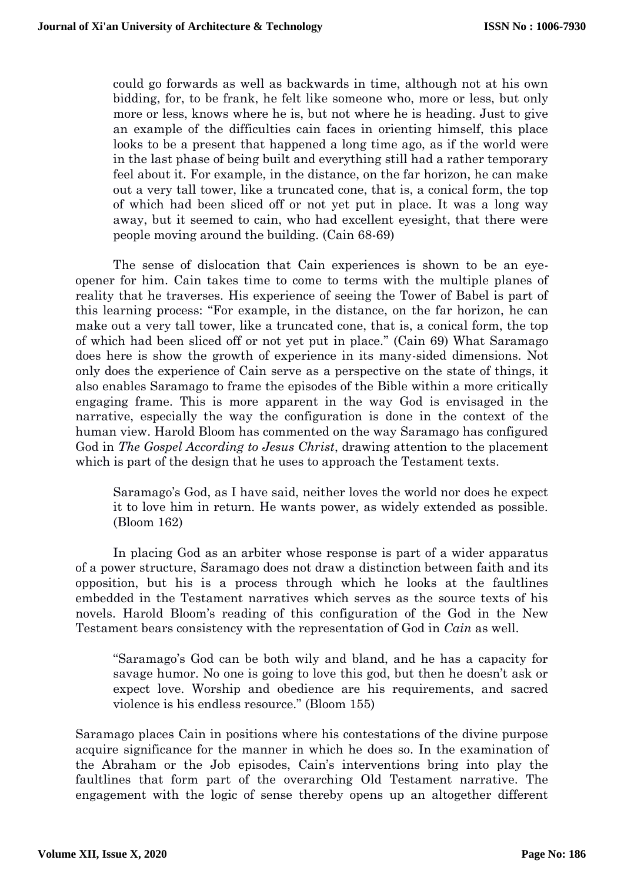could go forwards as well as backwards in time, although not at his own bidding, for, to be frank, he felt like someone who, more or less, but only more or less, knows where he is, but not where he is heading. Just to give an example of the difficulties cain faces in orienting himself, this place looks to be a present that happened a long time ago, as if the world were in the last phase of being built and everything still had a rather temporary feel about it. For example, in the distance, on the far horizon, he can make out a very tall tower, like a truncated cone, that is, a conical form, the top of which had been sliced off or not yet put in place. It was a long way away, but it seemed to cain, who had excellent eyesight, that there were people moving around the building. (Cain 68-69)

The sense of dislocation that Cain experiences is shown to be an eyeopener for him. Cain takes time to come to terms with the multiple planes of reality that he traverses. His experience of seeing the Tower of Babel is part of this learning process: "For example, in the distance, on the far horizon, he can make out a very tall tower, like a truncated cone, that is, a conical form, the top of which had been sliced off or not yet put in place." (Cain 69) What Saramago does here is show the growth of experience in its many-sided dimensions. Not only does the experience of Cain serve as a perspective on the state of things, it also enables Saramago to frame the episodes of the Bible within a more critically engaging frame. This is more apparent in the way God is envisaged in the narrative, especially the way the configuration is done in the context of the human view. Harold Bloom has commented on the way Saramago has configured God in *The Gospel According to Jesus Christ*, drawing attention to the placement which is part of the design that he uses to approach the Testament texts.

Saramago's God, as I have said, neither loves the world nor does he expect it to love him in return. He wants power, as widely extended as possible. (Bloom 162)

In placing God as an arbiter whose response is part of a wider apparatus of a power structure, Saramago does not draw a distinction between faith and its opposition, but his is a process through which he looks at the faultlines embedded in the Testament narratives which serves as the source texts of his novels. Harold Bloom's reading of this configuration of the God in the New Testament bears consistency with the representation of God in *Cain* as well.

"Saramago's God can be both wily and bland, and he has a capacity for savage humor. No one is going to love this god, but then he doesn't ask or expect love. Worship and obedience are his requirements, and sacred violence is his endless resource." (Bloom 155)

Saramago places Cain in positions where his contestations of the divine purpose acquire significance for the manner in which he does so. In the examination of the Abraham or the Job episodes, Cain's interventions bring into play the faultlines that form part of the overarching Old Testament narrative. The engagement with the logic of sense thereby opens up an altogether different